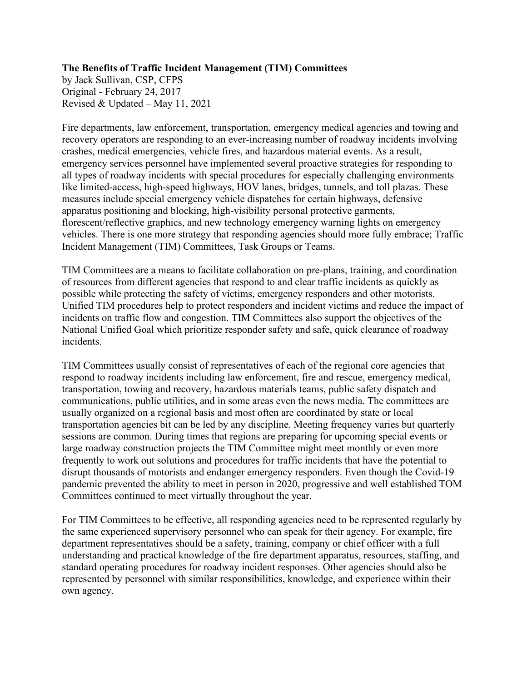## **The Benefits of Traffic Incident Management (TIM) Committees**

by Jack Sullivan, CSP, CFPS Original - February 24, 2017 Revised & Updated – May 11, 2021

Fire departments, law enforcement, transportation, emergency medical agencies and towing and recovery operators are responding to an ever-increasing number of roadway incidents involving crashes, medical emergencies, vehicle fires, and hazardous material events. As a result, emergency services personnel have implemented several proactive strategies for responding to all types of roadway incidents with special procedures for especially challenging environments like limited-access, high-speed highways, HOV lanes, bridges, tunnels, and toll plazas. These measures include special emergency vehicle dispatches for certain highways, defensive apparatus positioning and blocking, high-visibility personal protective garments, florescent/reflective graphics, and new technology emergency warning lights on emergency vehicles. There is one more strategy that responding agencies should more fully embrace; Traffic Incident Management (TIM) Committees, Task Groups or Teams.

TIM Committees are a means to facilitate collaboration on pre-plans, training, and coordination of resources from different agencies that respond to and clear traffic incidents as quickly as possible while protecting the safety of victims, emergency responders and other motorists. Unified TIM procedures help to protect responders and incident victims and reduce the impact of incidents on traffic flow and congestion. TIM Committees also support the objectives of the National Unified Goal which prioritize responder safety and safe, quick clearance of roadway incidents.

TIM Committees usually consist of representatives of each of the regional core agencies that respond to roadway incidents including law enforcement, fire and rescue, emergency medical, transportation, towing and recovery, hazardous materials teams, public safety dispatch and communications, public utilities, and in some areas even the news media. The committees are usually organized on a regional basis and most often are coordinated by state or local transportation agencies bit can be led by any discipline. Meeting frequency varies but quarterly sessions are common. During times that regions are preparing for upcoming special events or large roadway construction projects the TIM Committee might meet monthly or even more frequently to work out solutions and procedures for traffic incidents that have the potential to disrupt thousands of motorists and endanger emergency responders. Even though the Covid-19 pandemic prevented the ability to meet in person in 2020, progressive and well established TOM Committees continued to meet virtually throughout the year.

For TIM Committees to be effective, all responding agencies need to be represented regularly by the same experienced supervisory personnel who can speak for their agency. For example, fire department representatives should be a safety, training, company or chief officer with a full understanding and practical knowledge of the fire department apparatus, resources, staffing, and standard operating procedures for roadway incident responses. Other agencies should also be represented by personnel with similar responsibilities, knowledge, and experience within their own agency.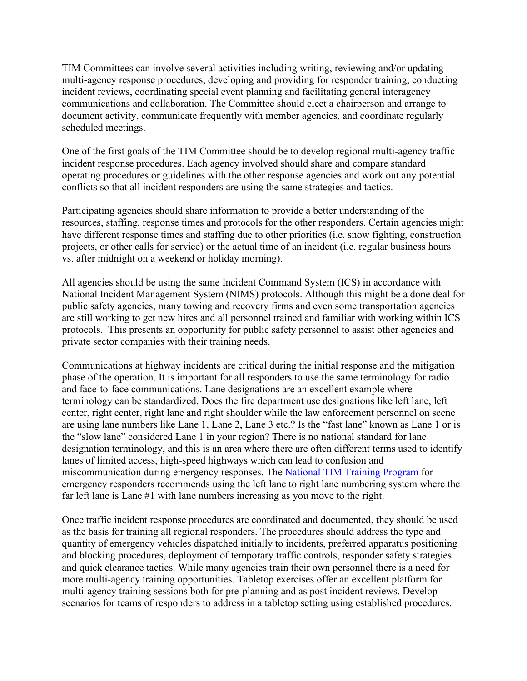TIM Committees can involve several activities including writing, reviewing and/or updating multi-agency response procedures, developing and providing for responder training, conducting incident reviews, coordinating special event planning and facilitating general interagency communications and collaboration. The Committee should elect a chairperson and arrange to document activity, communicate frequently with member agencies, and coordinate regularly scheduled meetings.

One of the first goals of the TIM Committee should be to develop regional multi-agency traffic incident response procedures. Each agency involved should share and compare standard operating procedures or guidelines with the other response agencies and work out any potential conflicts so that all incident responders are using the same strategies and tactics.

Participating agencies should share information to provide a better understanding of the resources, staffing, response times and protocols for the other responders. Certain agencies might have different response times and staffing due to other priorities (i.e. snow fighting, construction projects, or other calls for service) or the actual time of an incident (i.e. regular business hours vs. after midnight on a weekend or holiday morning).

All agencies should be using the same Incident Command System (ICS) in accordance with National Incident Management System (NIMS) protocols. Although this might be a done deal for public safety agencies, many towing and recovery firms and even some transportation agencies are still working to get new hires and all personnel trained and familiar with working within ICS protocols. This presents an opportunity for public safety personnel to assist other agencies and private sector companies with their training needs.

Communications at highway incidents are critical during the initial response and the mitigation phase of the operation. It is important for all responders to use the same terminology for radio and face-to-face communications. Lane designations are an excellent example where terminology can be standardized. Does the fire department use designations like left lane, left center, right center, right lane and right shoulder while the law enforcement personnel on scene are using lane numbers like Lane 1, Lane 2, Lane 3 etc.? Is the "fast lane" known as Lane 1 or is the "slow lane" considered Lane 1 in your region? There is no national standard for lane designation terminology, and this is an area where there are often different terms used to identify lanes of limited access, high-speed highways which can lead to confusion and miscommunication during emergency responses. The [National TIM Training Program](https://learning.respondersafety.com/Clusters/National-TIM-Training-Certificate.aspx) for emergency responders recommends using the left lane to right lane numbering system where the far left lane is Lane #1 with lane numbers increasing as you move to the right.

Once traffic incident response procedures are coordinated and documented, they should be used as the basis for training all regional responders. The procedures should address the type and quantity of emergency vehicles dispatched initially to incidents, preferred apparatus positioning and blocking procedures, deployment of temporary traffic controls, responder safety strategies and quick clearance tactics. While many agencies train their own personnel there is a need for more multi-agency training opportunities. Tabletop exercises offer an excellent platform for multi-agency training sessions both for pre-planning and as post incident reviews. Develop scenarios for teams of responders to address in a tabletop setting using established procedures.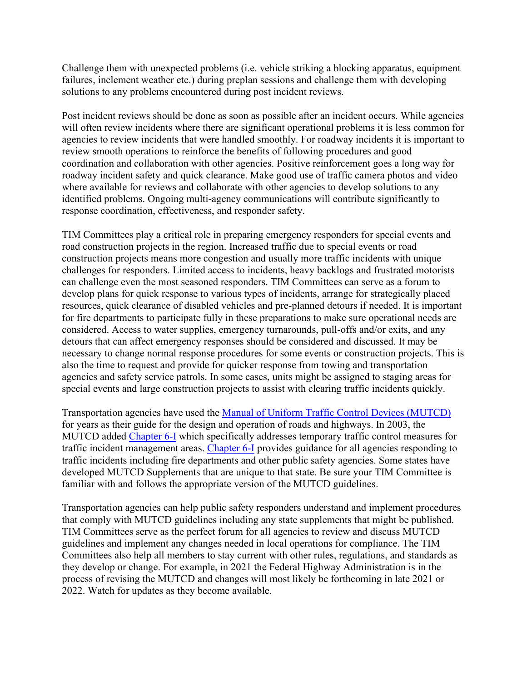Challenge them with unexpected problems (i.e. vehicle striking a blocking apparatus, equipment failures, inclement weather etc.) during preplan sessions and challenge them with developing solutions to any problems encountered during post incident reviews.

Post incident reviews should be done as soon as possible after an incident occurs. While agencies will often review incidents where there are significant operational problems it is less common for agencies to review incidents that were handled smoothly. For roadway incidents it is important to review smooth operations to reinforce the benefits of following procedures and good coordination and collaboration with other agencies. Positive reinforcement goes a long way for roadway incident safety and quick clearance. Make good use of traffic camera photos and video where available for reviews and collaborate with other agencies to develop solutions to any identified problems. Ongoing multi-agency communications will contribute significantly to response coordination, effectiveness, and responder safety.

TIM Committees play a critical role in preparing emergency responders for special events and road construction projects in the region. Increased traffic due to special events or road construction projects means more congestion and usually more traffic incidents with unique challenges for responders. Limited access to incidents, heavy backlogs and frustrated motorists can challenge even the most seasoned responders. TIM Committees can serve as a forum to develop plans for quick response to various types of incidents, arrange for strategically placed resources, quick clearance of disabled vehicles and pre-planned detours if needed. It is important for fire departments to participate fully in these preparations to make sure operational needs are considered. Access to water supplies, emergency turnarounds, pull-offs and/or exits, and any detours that can affect emergency responses should be considered and discussed. It may be necessary to change normal response procedures for some events or construction projects. This is also the time to request and provide for quicker response from towing and transportation agencies and safety service patrols. In some cases, units might be assigned to staging areas for special events and large construction projects to assist with clearing traffic incidents quickly.

Transportation agencies have used the [Manual of Uniform Traffic Control Devices \(MUTCD\)](https://mutcd.fhwa.dot.gov/htm/2009r1r2/html_index.htm) for years as their guide for the design and operation of roads and highways. In 2003, the MUTCD added [Chapter 6-I](https://mutcd.fhwa.dot.gov/htm/2009r1r2/part6/part6i.htm) which specifically addresses temporary traffic control measures for traffic incident management areas. [Chapter 6-I](https://mutcd.fhwa.dot.gov/htm/2009r1r2/part6/part6i.htm) provides guidance for all agencies responding to traffic incidents including fire departments and other public safety agencies. Some states have developed MUTCD Supplements that are unique to that state. Be sure your TIM Committee is familiar with and follows the appropriate version of the MUTCD guidelines.

Transportation agencies can help public safety responders understand and implement procedures that comply with MUTCD guidelines including any state supplements that might be published. TIM Committees serve as the perfect forum for all agencies to review and discuss MUTCD guidelines and implement any changes needed in local operations for compliance. The TIM Committees also help all members to stay current with other rules, regulations, and standards as they develop or change. For example, in 2021 the Federal Highway Administration is in the process of revising the MUTCD and changes will most likely be forthcoming in late 2021 or 2022. Watch for updates as they become available.